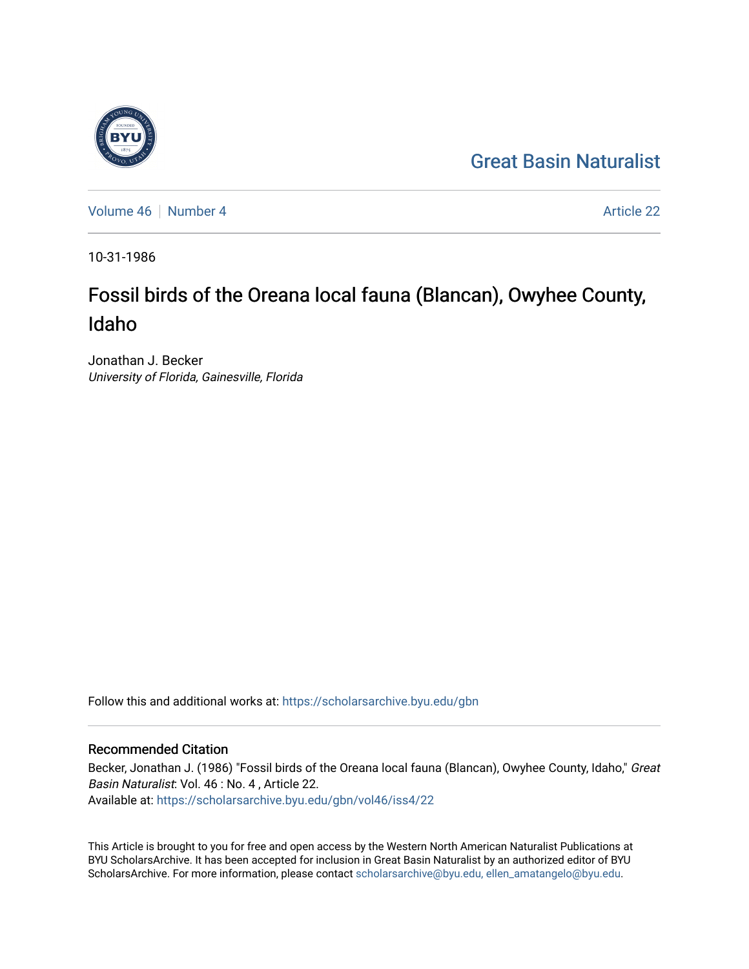## [Great Basin Naturalist](https://scholarsarchive.byu.edu/gbn)

[Volume 46](https://scholarsarchive.byu.edu/gbn/vol46) [Number 4](https://scholarsarchive.byu.edu/gbn/vol46/iss4) **Article 22** Article 22

10-31-1986

# Fossil birds of the Oreana local fauna (Blancan), Owyhee County, Idaho

Jonathan J. Becker University of Florida, Gainesville, Florida

Follow this and additional works at: [https://scholarsarchive.byu.edu/gbn](https://scholarsarchive.byu.edu/gbn?utm_source=scholarsarchive.byu.edu%2Fgbn%2Fvol46%2Fiss4%2F22&utm_medium=PDF&utm_campaign=PDFCoverPages) 

### Recommended Citation

Becker, Jonathan J. (1986) "Fossil birds of the Oreana local fauna (Blancan), Owyhee County, Idaho," Great Basin Naturalist: Vol. 46 : No. 4 , Article 22. Available at: [https://scholarsarchive.byu.edu/gbn/vol46/iss4/22](https://scholarsarchive.byu.edu/gbn/vol46/iss4/22?utm_source=scholarsarchive.byu.edu%2Fgbn%2Fvol46%2Fiss4%2F22&utm_medium=PDF&utm_campaign=PDFCoverPages) 

This Article is brought to you for free and open access by the Western North American Naturalist Publications at BYU ScholarsArchive. It has been accepted for inclusion in Great Basin Naturalist by an authorized editor of BYU ScholarsArchive. For more information, please contact [scholarsarchive@byu.edu, ellen\\_amatangelo@byu.edu.](mailto:scholarsarchive@byu.edu,%20ellen_amatangelo@byu.edu)

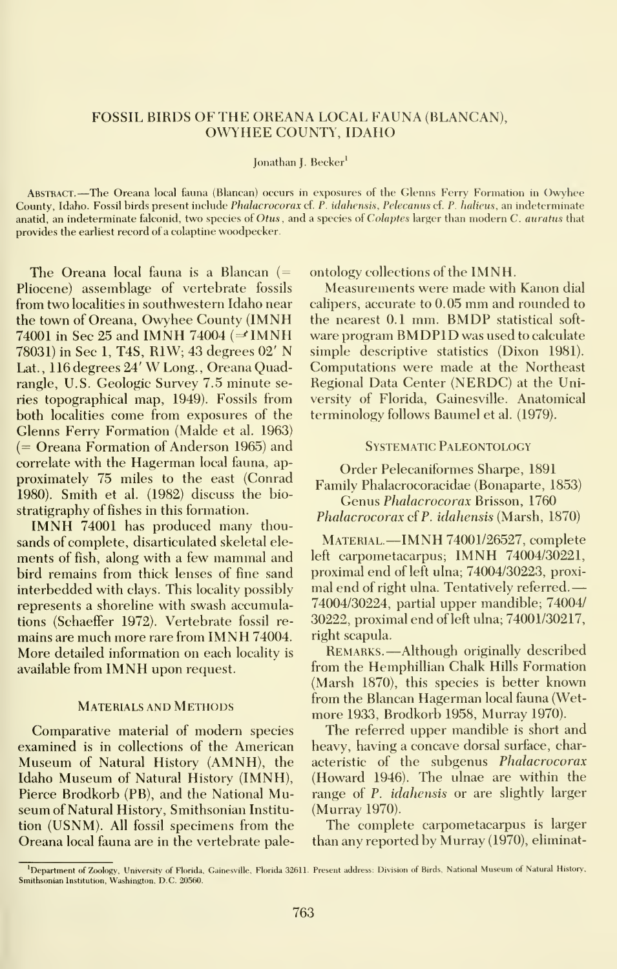#### FOSSIL BIRDS OF THE OREANA LOCAL FAUNA (BLANCAN), OWYHEE COUNTY, IDAHO

#### Jonathan J. Becker<sup>1</sup>

Abstract. —The Oreana local fauna (Blancan) occurs in exposures of the Glenns Ferry Formation in Owyhee County, Idaho. Fossil birds present include *Phalacrocorax* cf. P. idahensis, Pelecanus cf. P. halieus, an indeterminate anatid, an indeterminate falconid, two species of Otus, and a species of Colaptes larger than modern C. auratus that provides the earliest record of a colaptine woodpecker.

The Oreana local fauna is a Blancan  $($ Pliocene) assemblage of vertebrate fossils from two localities in southwestern Idaho near the town of Oreana, Owyhee County (IMNH 74001 in Sec 25 and IMNH 74004 ( $\Rightarrow$ IMNH 78031) in Sec 1, T4S, R1W; 43 degrees 02' N Lat. , <sup>116</sup> degrees 24' W Long. , Oreana Quadrangle, U.S. Geologic Survey 7.5 minute series topographical map, 1949). Fossils from both localities come from exposures of the Glenns Ferry Formation (Malde et al. 1963) (= Oreana Formation of Anderson 1965) and correlate with the Hagerman local fauna, ap proximately 75 miles to the east (Conrad 1980). Smith et al. (1982) discuss the bio stratigraphy of fishes in this formation.

IMNH <sup>74001</sup> has produced many thou sands of complete, disarticulated skeletal ele ments of fish, along with <sup>a</sup> few mammal and bird remains from thick lenses of fine sand interbedded with clays. This locality possibly represents a shoreline with swash accumulations (Schaeffer 1972). Vertebrate fossil re mains are much more rare from IMNH 74004. More detailed information on each locality is available from IMNH upon request.

#### Materials and Methods

Comparative material of modern species examined is in collections of the American Museum of Natural History (AMNH), the Idaho Museum of Natural History (IMNH), Pierce Brodkorb (PB), and the National Museum of Natural History, Smithsonian Institu tion (USNM). All fossil specimens from the Oreana local fauna are in the vertebrate paleontology collections of the IMNH.

Measurements were made with Kanon dial calipers, accurate to 0.05 mm and rounded to the nearest 0.1 mm. BMDP statistical soft ware program BMDPID was used to calculate simple descriptive statistics (Dixon 1981). Computations were made at the Northeast Regional Data Center (NERDC) at the University of Florida, Gainesville. Anatomical terminology follows Baumel et al. (1979).

#### Systematic Paleontology

Order Pelecaniformes Sharpe, 1891 Family Phalacrocoracidae (Bonaparte, 1853) Genus Phalacrocorax Brisson, 1760

Phalacrocorax of P. idahensis (Marsh, 1870)

MATERIAL —IMNH 74001/26527, complete left carpometacarpus; IMNH 74004/30221, proximal end of left ulna; 74004/30223, proxi mal end of right ulna. Tentatively referred. 74004/30224, partial upper mandible; 74004/ 30222, proximal end of left ulna; 74001/30217, right scapula.

Remarks. —Although originally described from the Hemphillian Chalk Hills Formation (Marsh 1870), this species is better known from the Blancan Hagerman local fauna (Wet more 1933, Brodkorb 1958, Murray 1970).

The referred upper mandible is short and heavy, having a concave dorsal surface, characteristic of the subgenus Phalacrocorax (Howard 1946). The ulnae are within the range of P. *idahensis* or are slightly larger (Murray 1970).

The complete carpometacarpus is larger than any reported by Murray (1970), eliminat-

Department of Zoology, University of Florida, Gainesville, Florida 32611. Present address: Division of Birds, National Museum of Natural History, Smithsonian Institution, Washington, D.C. 20560.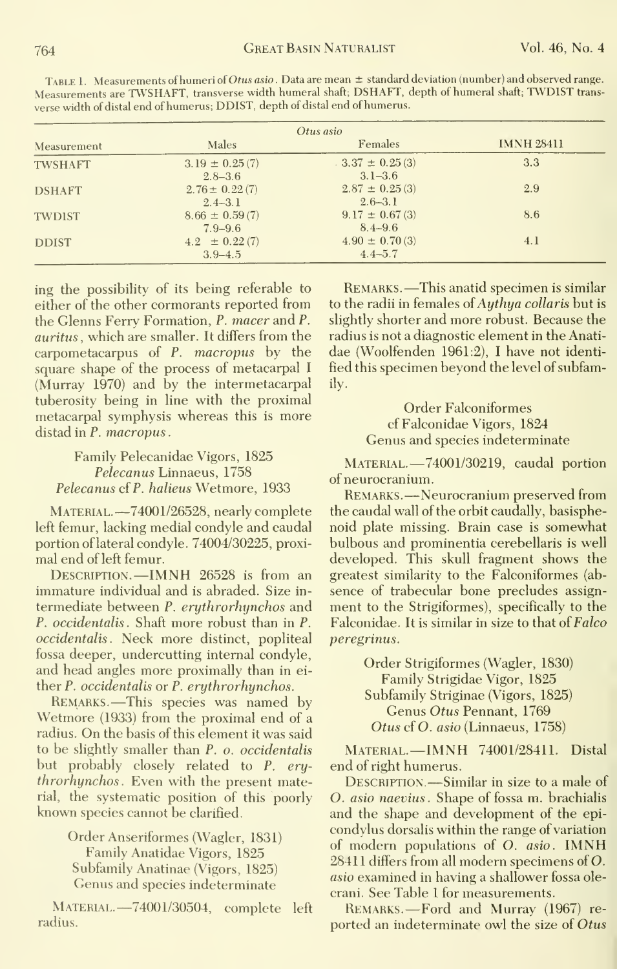| Measurement    | Males              | Females            | <b>IMNH 28411</b> |
|----------------|--------------------|--------------------|-------------------|
| <b>TWSHAFT</b> | $3.19 \pm 0.25(7)$ | $3.37 \pm 0.25(3)$ | 3.3               |
|                | $2.8 - 3.6$        | $3.1 - 3.6$        |                   |
| <b>DSHAFT</b>  | $2.76 \pm 0.22(7)$ | $2.87 \pm 0.25(3)$ | 2.9               |
|                | $2.4 - 3.1$        | $2.6 - 3.1$        |                   |
| <b>TWDIST</b>  | $8.66 \pm 0.59(7)$ | $9.17 \pm 0.67(3)$ | 8.6               |
|                | $7.9 - 9.6$        | $8.4 - 9.6$        |                   |
| <b>DDIST</b>   | $4.2 \pm 0.22(7)$  | $4.90 \pm 0.70(3)$ | 4.1               |
|                | $3.9 - 4.5$        | $4.4 - 5.7$        |                   |

Table 1. Measurements of humeri ofOtus asio . Data are mean ± standard deviation (number) and observed range. Measurements are TWSHAFT, transverse width humeral shaft; DSHAFT, depth of humeral shaft; TWDIST trans verse width of distal end of humerus; DDIST, depth of distal end of humerus.

ing the possibility of its being referable to either of the other cormorants reported from the Glenns Ferry Formation, P. macer and P. auritus, which are smaller. It differs from the carpometacarpus of P. macropus by the square shape of the process of metacarpal I (Murray 1970) and by the intermetacarpal tuberosity being in line with the proximal metacarpal symphysis whereas this is more distad in P. macropus.

### Family Pelecanidae Vigors, 1825 Pelecanus Linnaeus, 1758 Pelecanus cf P. halieus Wetmore, 1933

MATERIAL. -- 74001/26528, nearly complete left femur, lacking medial condyle and caudal portion of lateral condyle. 74004/30225, proximal end of left femur.

DESCRIPTION.-- IMNH 26528 is from an immature individual and is abraded. Size intermediate between P. eruthrorhynchos and P. occidentalis. Shaft more robust than in P. occidentalis. Neck more distinct, popliteal fossa deeper, undercutting internal condyle, and head angles more proximally than in either P. occidentalis or P. erythrorhynchos.

REMARKS.—This species was named by Wetmore (1933) from the proximal end of a radius. On the basis of this element it was said to be slightly smaller than P. o. occidentalis but probably closely related to P. erythrorhynchos. Even with the present material, the systematic position of this poorly known species cannot be clarified.

> Order Anseriformes (Wagler, 1831) Family Anatidae Vigors, 1825 Subfamily Anatinae (Vigors, 1825) Genus and species indeterminate

MATERIAL.-74001/30504, complete left radius.

REMARKS.-This anatid specimen is similar to the radii in females of Authua collaris but is slightly shorter and more robust. Because the radius is not a diagnostic element in the Anatidae (Woolfenden 1961:2), I have not identified this specimen beyond the level of subfamilv.

> **Order Falconiformes** cf Falconidae Vigors, 1824 Genus and species indeterminate

MATERIAL.-74001/30219, caudal portion of neurocranium.

REMARKS.—Neurocranium preserved from the caudal wall of the orbit caudally, basisphenoid plate missing. Brain case is somewhat bulbous and prominentia cerebellaris is well developed. This skull fragment shows the greatest similarity to the Falconiformes (absence of trabecular bone precludes assignment to the Strigiformes), specifically to the Falconidae. It is similar in size to that of Falco peregrinus.

> Order Strigiformes (Wagler, 1830) Family Strigidae Vigor, 1825 Subfamily Striginae (Vigors, 1825) Genus Otus Pennant, 1769 Otus cf O. asio (Linnaeus, 1758)

MATERIAL.-IMNH 74001/28411. Distal end of right humerus.

DESCRIPTION.-Similar in size to a male of O. asio naevius. Shape of fossa m. brachialis and the shape and development of the epicondylus dorsalis within the range of variation of modern populations of O. asio. IMNH 28411 differs from all modern specimens of O. asio examined in having a shallower fossa olecrani. See Table 1 for measurements.

REMARKS.-Ford and Murray (1967) reported an indeterminate owl the size of Otus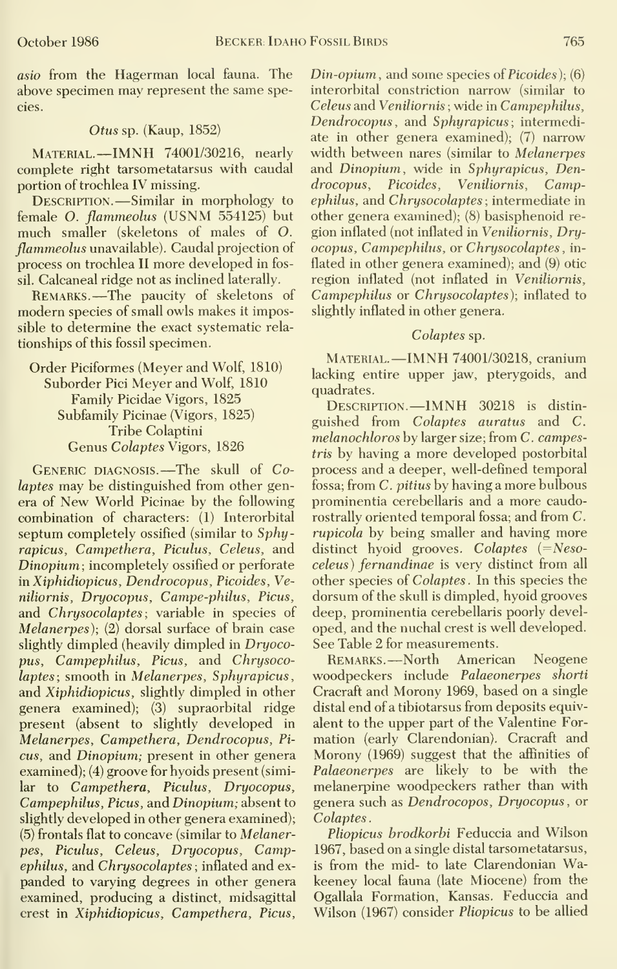asio from the Hagerman local fauna. The above specimen may represent the same species.

#### Otus sp. (Kaup, 1852)

Material.—IMNH 74001/30216, nearly complete right tarsometatarsus with caudal portion of trochlea IV missing.

DESCRIPTION. - Similar in morphology to female O. flammeolus (USNM 554125) but much smaller (skeletons of males of O. flammeolus unavailable). Caudal projection of process on trochlea II more developed in fossil. Calcaneal ridge not as inclined laterally.

Remarks. —The paucity of skeletons of modern species of small owls makes it impossible to determine the exact systematic rela tionships of this fossil specimen.

#### Order Piciformes (Meyer and Wolf, 1810) Suborder Pici Meyer and Wolf, 1810 Family Picidae Vigors, 1825 Subfamily Picinae (Vigors, 1825) Tribe Colaptini Genus Colaptes Vigors, 1826

GENERIC DIAGNOSIS. - The skull of Colaptes may be distinguished from other genera of New World Picinae by the following combination of characters: (1) Interorbital septum completely ossified (similar to Sphyrapicus, Campethera, Piculus, Celeus, and Dinopium ; incompletely ossified or perforate in Xiphidiopicus, Dendrocopus, Picoides, Veniliornis, Dryocopus, Campe-philus, Picus, and Chrysocolaptes; variable in species of Melanerpes); (2) dorsal surface of brain case slightly dimpled (heavily dimpled in Dryocopus, Campephilus, Picus, and Chrysocolaptes; smooth in Melanerpes, Sphyrapicus, and Xiphidiopicus, slightly dimpled in other genera examined); (3) supraorbital ridge present (absent to slightly developed in Melanerpes, Campethera, Dendrocopus, Pi cus, and Dinopium; present in other genera examined); (4) groove for hyoids present (similar to Campethera, Piculus, Dryocopus, Campephilus, Picus, and Dinopium; absent to slightly developed in other genera examined);  $(5)$  frontals flat to concave (similar to Melanerpes, Piculus, Celeus, Dryocopus, Campephilus, and Chrysocolaptes ; inflated and ex panded to varying degrees in other genera examined, producing a distinct, midsagittal crest in Xiphidiopicus, Campethera, Picus, Din-opium, and some species of Picoides); (6) interorbital constriction narrow (similar to Celeus and Veniliornis ; wide in Campephilus, Dendrocopus, and Sphyrapicus; intermediate in other genera examined); (7) narrow width between nares (similar to Melanerpes and Dinopium, wide in Sphyrapicus, Dendrocopus, Picoides, Veniliornis, Campephilus, and Chrysocolaptes ; intermediate in other genera examined); (8) basisphenoid re gion inflated (not inflated in Veniliornis, Dryocopus, Campephilus, or Chrysocolaptes, inflated in other genera examined); and (9) otic region inflated (not inflated in Veniliornis, Campephilus or Chrysocolaptes); inflated to slightly inflated in other genera.

#### Colaptes sp.

Material.—IMNH 74001/30218, cranium lacking entire upper jaw, pterygoids, and quadrates.

Description.—IMNH <sup>30218</sup> is distin guished from Colaptes auratus and C. melanochloros by larger size; from C. campestris by having a more developed postorbital process and a deeper, well-defined temporal fossa; from C. pitius by having a more bulbous prominentia cerebellaris and a more caudorostrally oriented temporal fossa; and from C. rupicola by being smaller and having more distinct hyoid grooves. Colaptes  $( =$ Nesoceleus) fernandinae is very distinct from all other species of Colaptes . In this species the dorsum of the skull is dimpled, hyoid grooves deep, prominentia cerebellaris poorly devel oped, and the nuchal crest is well developed. See Table 2 for measurements.

Remarks. —North American Neogene woodpeckers include Palaeonerpes shorti Cracraft and Morony 1969, based on a single distal end of a tibiotarsus from deposits equivalent to the upper part of the Valentine For mation (early Clarendonian). Cracraft and Morony (1969) suggest that the affinities of Palaeonerpes are likely to be with the melanerpine woodpeckers rather than with genera such as Dendrocopos, Dryocopus, or Colaptes.

Pliopicus brodkorbi Feduccia and Wilson 1967, based on a single distal tarsometatarsus, is from the mid- to late Clarendonian Wakeeney local fauna (late Miocene) from the Ogallala Formation, Kansas. Feduccia and Wilson (1967) consider Pliopicus to be allied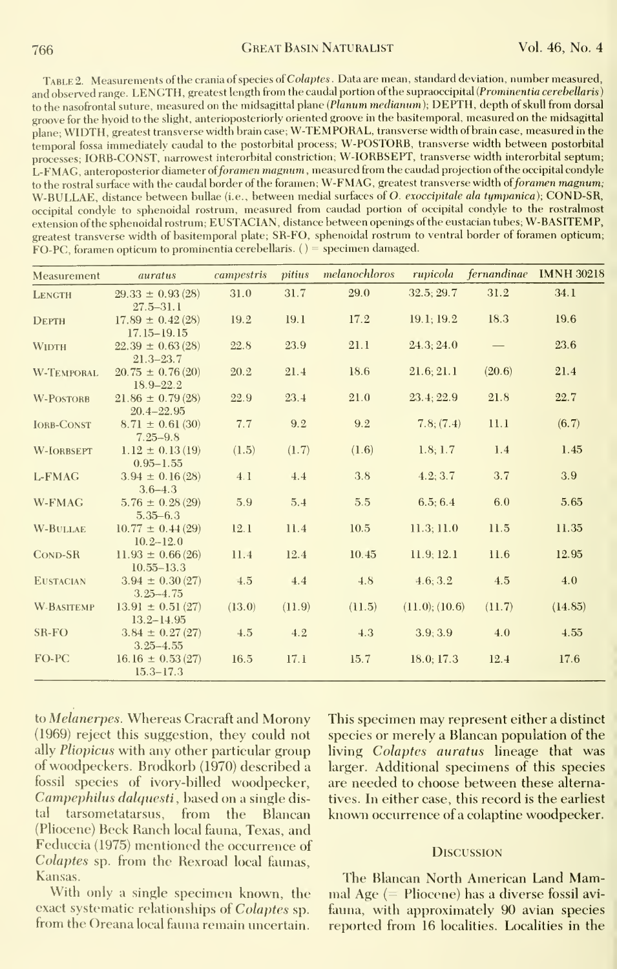TABLE 2. Measurements of the crania of species of Colaptes. Data are mean, standard deviation, number measured, and observed range. LENGTH, greatest length from the caudal portion of the supraoccipital (Prominentia cerebellaris) to the nasofrontal suture, measured on the midsagittal plane (Planum medianum), DEPTH, depth of skull from dorsal groove for the hyoid to the slight, anterioposteriorly oriented groove in the basitemporal, measured on the midsagittal plane; WIDTH, greatest transverse width brain case; W-TEMPORAL, transverse width of brain case, measured in the temporal fossa immediately caudal to the postorbital process; W-POSTORB, transverse width between postorbital processes; lORB-CONST, narrowest interorbital constriction; W-IORBSEPT, transverse width interorbital septum; L-FMAG, anteroposterior diameter oiforamen magnum , measured from the caudad projection of the occipital condyle to the rostral surface with the caudal border of the foramen; W-FMAG, greatest transverse width of foramen magnum; W-BULLAE, distance between bullae (i.e., between medial surfaces of O. exoccipitale ala tympanica); COND-SR, occipital condyle to sphenoidal rostrum, measured from caudad portion of occipital condyle to the rostralmost extension of the sphenoidal rostrum; EUSTACIAN, distance between openings of the eustacian tubes; W-BASITEMP, greatest transverse width of basitemporal plate; SR-FO, sphenoidal rostrum to ventral border of foramen opticum; FO-PC, foramen opticum to prominentia cerebellaris.  $() =$  specimen damaged.

| Measurement       | auratus                                                | campestris | pitius | melanochloros |                     |        | rupicola fernandinae IMNH 30218 |
|-------------------|--------------------------------------------------------|------------|--------|---------------|---------------------|--------|---------------------------------|
| <b>LENGTH</b>     | $29.33 \pm 0.93(28)$<br>$27.5 - 31.1$                  | 31.0       | 31.7   | 29.0          | 32.5; 29.7          | 31.2   | 34.1                            |
| <b>DEPTH</b>      | $17.89 \pm 0.42(28)$<br>$17.15 - 19.15$                | 19.2       | 19.1   | 17.2          | 19.1; 19.2          | 18.3   | 19.6                            |
| <b>WIDTH</b>      | $22.39 \pm 0.63(28)$                                   | 22.8       | 23.9   | 21.1          | 24.3; 24.0          |        | 23.6                            |
| <b>W-TEMPORAL</b> | $21.3 - 23.7$<br>$20.75 \pm 0.76(20)$                  | 20.2       | 21.4   | 18.6          | 21.6; 21.1          | (20.6) | 21.4                            |
| <b>W-POSTORB</b>  | $18.9 - 22.2$<br>$21.86 \pm 0.79(28)$                  | 22.9       | 23.4   | 21.0          | 23.4; 22.9          | 21.8   | 22.7                            |
| <b>IORB-CONST</b> | $20.4 - 22.95$<br>$8.71 \pm 0.61(30)$                  | 7.7        | 9.2    | 9.2           | 7.8; (7.4)          | 11.1   | (6.7)                           |
| <b>W-IORBSEPT</b> | $7.25 - 9.8$<br>$1.12 \pm 0.13(19)$                    | (1.5)      | (1.7)  | (1.6)         | 1.8; 1.7            | 1.4    | 1.45                            |
| L-FMAG            | $0.95 - 1.55$<br>$3.94 \pm 0.16(28)$                   | 4.1        | 4.4    | 3.8           | 4.2; 3.7            | 3.7    | 3.9                             |
| W-FMAG            | $3.6 - 4.3$<br>$5.76 \pm 0.28(29)$                     | 5.9        | 5.4    | 5.5           | 6.5:6.4             | 6.0    | 5.65                            |
| <b>W-BULLAE</b>   | $5.35 - 6.3$<br>$10.77 \pm 0.44(29)$                   | 12.1       | 11.4   | 10.5          | 11.3; 11.0          | 11.5   | 11.35                           |
| <b>COND-SR</b>    | $10.2 - 12.0$<br>$11.93 \pm 0.66(26)$                  | 11.4       | 12.4   | 10.45         | 11.9; 12.1          | 11.6   | 12.95                           |
| <b>EUSTACIAN</b>  | $10.55 - 13.3$<br>$3.94 \pm 0.30(27)$                  | 4.5        | 4.4    | 4.8           | 4.6:3.2             | 4.5    | 4.0                             |
| <b>W-BASITEMP</b> | $3.25 - 4.75$<br>$13.91 \pm 0.51(27)$                  | (13.0)     | (11.9) | (11.5)        | $(11.0)$ ; $(10.6)$ | (11.7) | (14.85)                         |
| SR-FO             | $13.2 - 14.95$<br>$3.84 \pm 0.27(27)$                  | 4.5        | 4.2    | 4.3           | 3.9; 3.9            | 4.0    | 4.55                            |
| FO-PC             | $3.25 - 4.55$<br>$16.16 \pm 0.53(27)$<br>$15.3 - 17.3$ | 16.5       | 17.1   | 15.7          | 18.0; 17.3          | 12.4   | 17.6                            |

to Melanerpes. Whereas Cracraft and Morony (1969) reject this suggestion, they could not ally *Pliopicus* with any other particular group of woodpeckers. Brodkorb (1970) described a fossil species of ivory-billed woodpecker, Campephilus dalquesti, based on a single distal tarsometatarsus, from the Blancan (Pliocene) Beck Ranch local fauna, Texas, and Feduccia (1975) mentioned the occurrence of Colaptes sp. from the Rexroad local faunas, Kansas.

With only a single specimen known, the exact systematic relationships of Colaptes sp. from the Oreana local fauna remain uncertain.

This specimen may represent either a distinct species or merely a Blancan population of the living Colaptes auratus lineage that was larger. Additional specimens of this species are needed to choose between these alternatives. In either case, this record is the earliest known occurrence of a colaptine woodpecker.

#### **DISCUSSION**

The Blancan North American Land Mammal Age (= Pliocene) has a diverse fossil avifauna, with approximately 90 avian species reported from 16 localities. Localities in the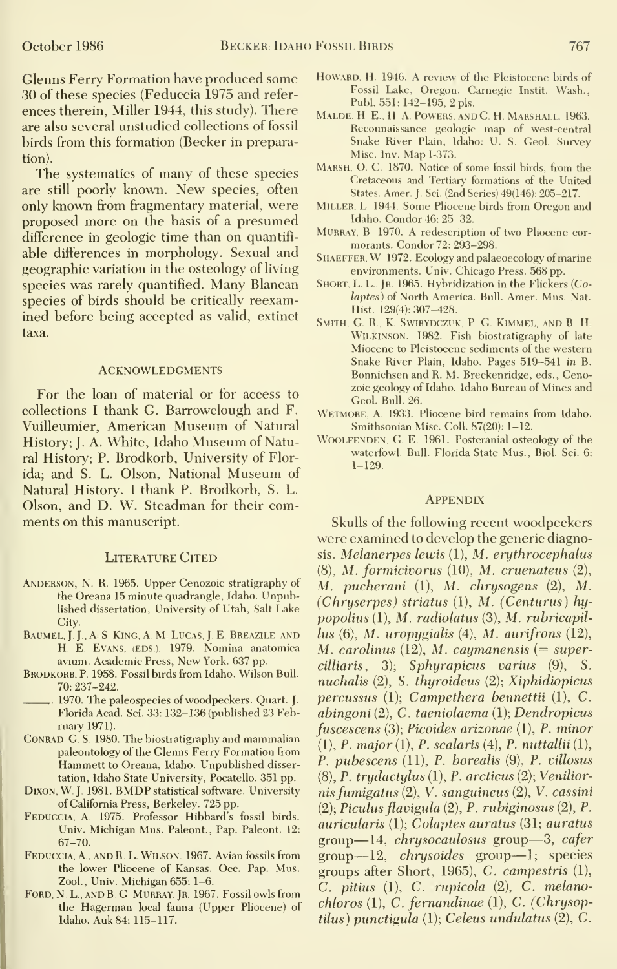Glenns Ferry Formation have produced some 30 of these species (Feduccia 1975 and refer ences therein, Miller 1944, this study). There are also several unstudied collections of fossil birds from this formation (Becker in preparation).

The systematics of many of these species are still poorly known. New species, often only known from fragmentary material, were proposed more on the basis of a presumed difference in geologic time than on quantifi able differences in morphology. Sexual and geographic variation in the osteology of living species was rarely quantified. Many Blancan species of birds should be critically reexamined before being accepted as valid, extinct taxa.

#### **ACKNOWLEDGMENTS**

For the loan of material or for access to collections <sup>I</sup> thank G. Barrowclough and F. Vuilleumier, American Museum of Natural History; J. A. White, Idaho Museum of Natural History; P. Brodkorb, University of Florida; and S. L. Olson, National Museum of Natural History. <sup>I</sup> thank P. Brodkorb, S. L. Olson, and D. W. Steadman for their comments on this manuscript.

#### LITERATURE CITED

- Anderson, N. R. 1965. Upper Cenozoic stratigraphy of the Oreana 15 minute quadrangle, Idaho. Unpublished dissertation, University of Utah, Salt Lake City.
- BAUMEL, J. J., A. S. KING, A. M. LUCAS, J. E. BREAZILE, AND *lus* H. E. Evans, (EDS.). 1979. Nomina anatomica M. avium. Academic Press, New York. 637 pp.
- BRODKORB, P. 1958. Fossil birds from Idaho. Wilson Bull. 70; 237-242.
- 1970. The paleospecies of woodpeckers. Quart. J. Florida Acad. Sci. 33: 132-136 (published 23 February 1971).
- CONRAD, G. S. 1980. The biostratigraphy and mammalian paleontology of the Glenns Ferry Formation from Hammett to Oreana, Idaho. Unpublished dissertation, Idaho State University, Pocatello. 351 pp.
- DIXON, W. J. 1981. BMDP statistical software. University of California Press, Berkeley. 725 pp.
- Feduccia, A 1975. Professor Hibbard's fossil birds. Univ. Michigan Mus. Paleont., Pap. Paleont. 12: 67-70.
- Feduccia, A., and R. L. Wilson 1967. Avian fossils from the lower Pliocene of Kansas. Occ. Pap. Mus. Zool., Univ. Michigan 655: 1-6.
- FORD, N. L., AND B. G. MURRAY, JR. 1967. Fossil owls from the Hagerman local fauna (Upper Pliocene) of Idaho. Auk 84: 115-117.
- HOWARD, H. 1946. A review of the Pleistocene birds of Fossil Lake, Oregon. Carnegie Instit. Wash., Publ. 551:142-195, 2 pis.
- MALDE, H E., H A. POWERS, AND C. H. MARSHALL 1963. Reconnaissance geologic map of west-central Snake River Plain, Idaho: U. S. Geol. Survey Misc. Inv. Map 1-373.
- Marsh, O. C. 1870. Notice of some fossil birds, from the Cretaceous and Tertiary formations of the United States. Amer. J. Sci. (2nd Series) 49(146): 205-217.
- Miller, L 1944. Some Pliocene birds from Oregon and Idaho. Condor 46: 25-32.
- MURRAY, B 1970. A redescription of two Pliocene cormorants. Condor 72: 293-298.
- SHAEFFER, W. 1972. Ecology and palaeoecology of marine environments. Univ. Chicago Press. 568 pp.
- SHORT, L. L., JR. 1965. Hybridization in the Flickers (Colaptes) of North America. Bull. Amer. Mus. Nat. Hist. 129(4): 307-428.
- SMITH, G. R., K. SWIRYDCZUK, P. G. KIMMEL, AND B. H. Wilkinson. 1982. Fish biostratigraphy of late Miocene to Pleistocene sediments of the western Snake River Plain, Idaho. Pages 519-541 in B. Bonnichsen and R. M. Breckenridge, eds., Cenozoic geology of Idaho. Idaho Bureau of Mines and Geol. Bull. 26.
- Wetmore, a 1933. Pliocene bird remains from Idaho. Smithsonian Misc. Coll. 87(20): 1-12.
- WOOLFENDEN, G. E. 1961. Postcranial osteology of the waterfowl. Bull. Florida State Mus., Biol. Sci. 6: 1-129.

#### **APPENDIX**

Skulls of the following recent woodpeckers were examined to develop the generic diagnosis. Melanerpes lewis (1), M. erythrocephalus (8), M. formicivorus (10), M. cruenateus (2), M. pucherani (1), M. chrysogens (2), M. (Chryserpes) striatus (1), M. (Centurus) hy $popolius (1), M. radio latus (3), M. rubricapil$ lus (6), M. uropygialis (4), M. aurifrons (12), M. carolinus  $(12)$ , M. caymanensis (= supercilliaris, 3); Sphyrapicus varius (9), S. nuchalis (2), S. thyroideus (2); Xiphidiopicus percussus (1); Campethera bennettii (1), C. abingoni (2), C. taeniolaema (1); Dendropicus fuscescens (3); Picoides arizonae (1), P. minor  $(1), P. major(1), P. scalaris (4), P. neutraliii(1),$ P. pubescens (11), P. borealis (9), P. villosus (8), P. trydactylus (1), P. arcticus (2); Venilior nisfumigatus (2), V. sanguineus (2), V. cassini (2); Piculus flavigula (2), P. rubiginosus (2), P. auricularis (1); Colaptes auratus (31; auratus group—14, chrysocaulosus group—3, cafer group—12, chrysoides group—1; species groups after Short, 1965), C. campestris (1),  $C.$  pitius  $(1)$ ,  $C.$  rupicola  $(2)$ ,  $C.$  melanochloros (1), C. fernandinae (1), C. (Chrysoptilus) punctigula (1); Celeus undulatus (2), C.